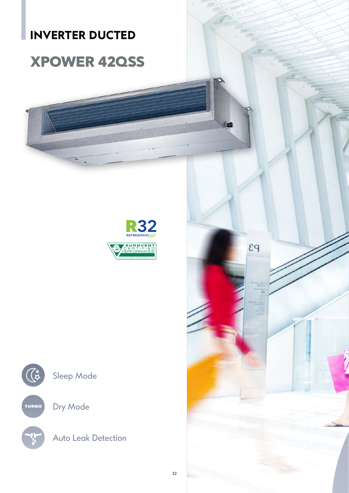## **INVERTER DUCTED**

# **XPOWER 42QSS**





Dry Mode

Auto Leak Detection

 $P3$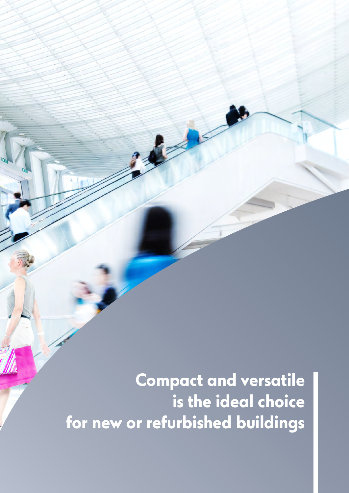**Compact and versatile is the ideal choice for new or refurbished buildings**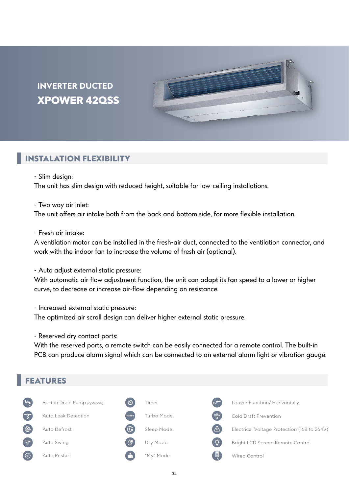### **INVERTER DUCTED XPOWER 42QSS**



#### **INSTALATION FLEXIBILITY**

- Slim design:

The unit has slim design with reduced height, suitable for low-ceiling installations.

- Two way air inlet:

The unit offers air intake both from the back and bottom side, for more flexible installation.

- Fresh air intake:

A ventilation motor can be installed in the fresh-air duct, connected to the ventilation connector, and work with the indoor fan to increase the volume of fresh air (optional).

- Auto adjust external static pressure:

With automatic air-flow adjustment function, the unit can adapt its fan speed to a lower or higher curve, to decrease or increase air-flow depending on resistance.

- Increased external static pressure:

The optimized air scroll design can deliver higher external static pressure.

- Reserved dry contact ports:

With the reserved ports, a remote switch can be easily connected for a remote control. The built-in PCB can produce alarm signal which can be connected to an external alarm light or vibration gauge.

#### **FEATURES**

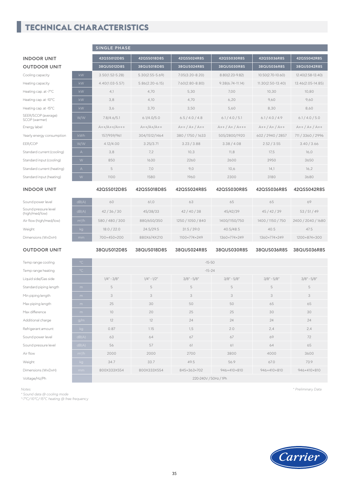#### **TECHNICAL CHARACTERISTICS**

|                                        |                     | SINGLE PHASE        |                     |                     |                    |                       |                    |
|----------------------------------------|---------------------|---------------------|---------------------|---------------------|--------------------|-----------------------|--------------------|
| <b>INDOOR UNIT</b>                     |                     | 42QSS012D8S         | 42QSS018D8S         | 42QSS024R8S         | 42QSS030R8S        | 42QSS036R8S           | 42QSS042R8S        |
| <b>OUTDOOR UNIT</b>                    |                     | 38QUS012D8S         | 38QUS018D8S         | 38QUS024R8S         | 38QUS030R8S        | 38QUS036R8S           | 38QUS042R8S        |
| Cooling capacity                       | kW                  | $3.50(1.52 - 5.28)$ | $5.30(2.55 - 5.69)$ | $7.05(3.20 - 8.20)$ | 8.80(2.23-9.82)    | 10.50(2.70~10.60)     | 12.40(2.58~13.40)  |
| Heating capacity                       | kW                  | $4.40(1.03 - 5.57)$ | $5.86(2.20 - 6.15)$ | $7.60(2.80 - 8.80)$ | $9.38(6.74-11.14)$ | $11.30(2.50 - 13.40)$ | 13.46(2.05~14.85)  |
| Heating cap. at -7°C                   | kW                  | 4,1                 | 4,70                | 5,30                | 7,00               | 10,30                 | 10,80              |
| Heating cap. at -10°C                  | kW                  | 3,8                 | 4,10                | 4,70                | 6,20               | 9,60                  | 9,60               |
| Heating cap. at -15°C                  | kW                  | 3,6                 | 3,70                | 3,50                | 5.60               | 8,30                  | 8,60               |
| SEER/SCOP (average)<br>SCOP (warmer)   | W/W                 | 7.8/4.6/5.1         | 6.1/4.0/5.0         | 6.5/4.0/4.8         | 6.1/4.0/5.1        | 6.1/4.0/4.9           | 6.1/4.0/5.0        |
| Energy label                           |                     | $A++/A++/A++$       | $A++/A+/A++$        | $A++/A+/A++$        | $A++/A+/A++$       | $A++/A+/A++$          | $A++/A+/A++$       |
| Yearly energy consumption              | kWh                 | 157/959/961         | 304/1512/1464       | 380 / 1750 / 1633   | 505/2800/1920      | 602 / 2940 / 2857     | 711 / 3360 / 2996  |
| EER/COP                                | W/W                 | 4.12/4.00           | 3.25/3.71           | 3.23 / 3.88         | 3.38/4.08          | 2.52 / 3.55           | 3.40 / 3.66        |
| Standard current (cooling)             | $\mathsf{A}$        | 3,8                 | 7,2                 | 10,3                | 11,8               | 17,5                  | 16,0               |
| Standard input (cooling)               | $\mathsf W$         | 850                 | 1630                | 2260                | 2600               | 3950                  | 3650               |
| Standard current (heating)             | $\forall$           | 5                   | 7,0                 | 9,0                 | 10.6               | 14,1                  | 16,2               |
| Standard input (heating)               | $\mathsf{W}$        | 1100                | 1580                | 1960                | 2300               | 3180                  | 3680               |
| <b>INDOOR UNIT</b>                     |                     | 42QSS012D8S         | 42QSS018D8S         | 42QSS024R8S         | 42QSS030R8S        | 42QSS036R8S           | 42QSS042R8S        |
| Sound power level                      | dB(A)               | 60                  | 61,0                | 63                  | 65                 | 65                    | 69                 |
| Sound pressure level<br>(high/med/low) | dB(A)               | 42/36/30            | 45/38/33            | 42/40/38            | 45/42/39           | 45 / 42 / 39          | 53/51/49           |
| Air flow (high/med/low)                | $m^3/h$             | 580 / 480 / 300     | 880/650/350         | 1250 / 1050 / 840   | 1400/1150/750      | 1400 / 1150 / 750     | 2400 / 2040 / 1680 |
| Weight                                 | kg                  | 18.0 / 22.0         | 24.5/29.5           | 31.5 / 39.0         | 40.5/48.5          | 40.5                  | 47.5               |
| Dimensions (WxDxH)                     | mm.                 | 700×450×200         | 880X674X210         | 1100×774×249        | 1360×774×249       | 1360×774×249          | 1200×874×300       |
| <b>OUTDOOR UNIT</b>                    |                     |                     |                     |                     |                    |                       |                    |
|                                        |                     | 38QUS012D8S         | 38QUS018D8S         | 38QUS024R8S         | 38QUS030R8S        | 38QUS036R8S           | 38OUS036R8S        |
| Temp range cooling                     | $^{\circ}$ C        |                     |                     | $-15 - 50$          |                    |                       |                    |
| Temp range heating                     | $^{\circ} \text{C}$ |                     |                     | $-15 - 24$          |                    |                       |                    |
| Liquid side/Gas side                   |                     | $1/4" - 3/8"$       | $1/4'' - 1/2''$     | $3/8$ " - $5/8$ "   | $3/8" - 5/8"$      | $3/8" - 5/8"$         | $3/8" - 5/8"$      |
| Standard piping length                 | m                   | 5                   | 5                   | 5                   | 5                  | 5                     | 5                  |
| Min piping length                      | m                   | 3                   | 3                   | 3                   | 3                  | 3                     | 3                  |
| Max piping length                      | m                   | 25                  | 30                  | 50                  | 50                 | 65                    | 65                 |
| Max difference                         | m                   | 10                  | 20                  | 25                  | 25                 | 30                    | 30                 |

Refrigerant amount kg 0.87 1.15 1,5 2.0 2,4 2,4 2,4 Sound power level dB(A) 63 64 67 67 69 72 Sound pressure level dB(A) 56 57 61 61 61 64 65 Air flow Weight kg 34.7 33.7 49.5 56.9 67.0 73.9 Dimensions (WxDxH) mm 800X333X554 800X333X554 845×363×702 946×410×810 946×410×810 946×410×810 Voltage/Hz/Ph 220-240V / 50Hz / 1Ph

*Notes: \* Sound data @ cooling mode \*-7°C/-10°C/-15°C heating @ free frequency* *\* Preliminary Data*



/h 2000 2000 2700 3800 4000 3600